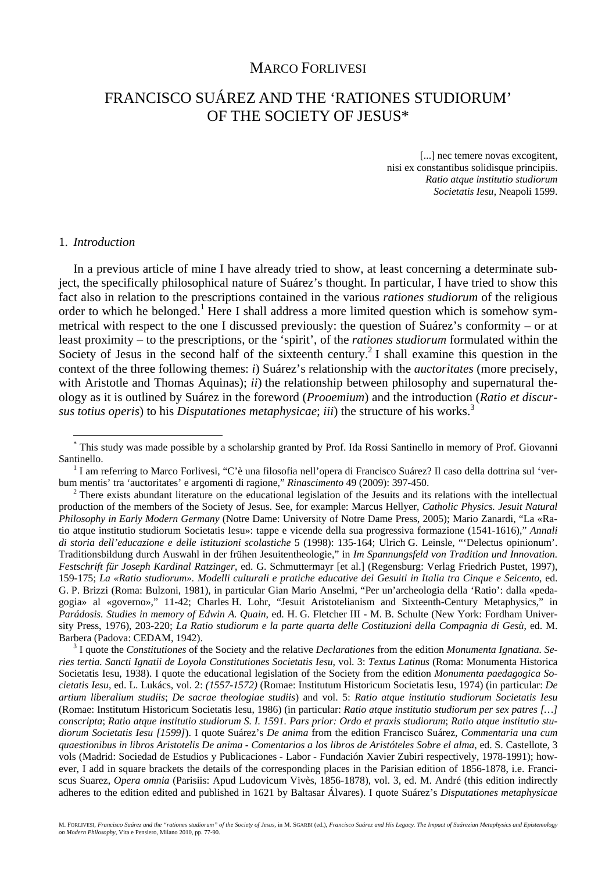# MARCO FORLIVESI

# FRANCISCO SUÁREZ AND THE 'RATIONES STUDIORUM' OF THE SOCIETY OF JESUS\*

[...] nec temere novas excogitent, nisi ex constantibus solidisque principiis. *Ratio atque institutio studiorum Societatis Iesu*, Neapoli 1599.

#### 1. *Introduction*

 $\overline{a}$ 

In a previous article of mine I have already tried to show, at least concerning a determinate subject, the specifically philosophical nature of Suárez's thought. In particular, I have tried to show this fact also in relation to the prescriptions contained in the various *rationes studiorum* of the religious order to which he belonged.<sup>1</sup> Here I shall address a more limited question which is somehow symmetrical with respect to the one I discussed previously: the question of Suárez's conformity – or at least proximity – to the prescriptions, or the 'spirit', of the *rationes studiorum* formulated within the Society of Jesus in the second half of the sixteenth century.<sup>2</sup> I shall examine this question in the context of the three following themes: *i*) Suárez's relationship with the *auctoritates* (more precisely, with Aristotle and Thomas Aquinas); *ii*) the relationship between philosophy and supernatural theology as it is outlined by Suárez in the foreword (*Prooemium*) and the introduction (*Ratio et discursus totius operis*) to his *Disputationes metaphysicae*; *iii*) the structure of his works.3

 I quote the *Constitutiones* of the Society and the relative *Declarationes* from the edition *Monumenta Ignatiana. Series tertia. Sancti Ignatii de Loyola Constitutiones Societatis Iesu*, vol. 3: *Textus Latinus* (Roma: Monumenta Historica Societatis Iesu, 1938). I quote the educational legislation of the Society from the edition *Monumenta paedagogica Societatis Iesu*, ed. L. Lukács, vol. 2: *(1557-1572)* (Romae: Institutum Historicum Societatis Iesu, 1974) (in particular: *De artium liberalium studiis*; *De sacrae theologiae studiis*) and vol. 5: *Ratio atque institutio studiorum Societatis Iesu* (Romae: Institutum Historicum Societatis Iesu, 1986) (in particular: *Ratio atque institutio studiorum per sex patres […] conscripta*; *Ratio atque institutio studiorum S. I. 1591. Pars prior: Ordo et praxis studiorum*; *Ratio atque institutio studiorum Societatis Iesu [1599]*). I quote Suárez's *De anima* from the edition Francisco Suárez, *Commentaria una cum quaestionibus in libros Aristotelis De anima - Comentarios a los libros de Aristóteles Sobre el alma*, ed. S. Castellote, 3 vols (Madrid: Sociedad de Estudios y Publicaciones - Labor - Fundación Xavier Zubiri respectively, 1978-1991); however, I add in square brackets the details of the corresponding places in the Parisian edition of 1856-1878, i.e. Franciscus Suarez, *Opera omnia* (Parisiis: Apud Ludovicum Vivès, 1856-1878), vol. 3, ed. M. André (this edition indirectly adheres to the edition edited and published in 1621 by Baltasar Álvares). I quote Suárez's *Disputationes metaphysicae*

<sup>\*</sup> This study was made possible by a scholarship granted by Prof. Ida Rossi Santinello in memory of Prof. Giovanni Santinello.

I am referring to Marco Forlivesi, "C'è una filosofia nell'opera di Francisco Suárez? Il caso della dottrina sul 'verbum mentis' tra 'auctoritates' e argomenti di ragione," *Rinascimento* 49 (2009): 397-450. 2

 $2$  There exists abundant literature on the educational legislation of the Jesuits and its relations with the intellectual production of the members of the Society of Jesus. See, for example: Marcus Hellyer, *Catholic Physics. Jesuit Natural Philosophy in Early Modern Germany* (Notre Dame: University of Notre Dame Press, 2005); Mario Zanardi, "La «Ratio atque institutio studiorum Societatis Iesu»: tappe e vicende della sua progressiva formazione (1541-1616)," *Annali di storia dell'educazione e delle istituzioni scolastiche* 5 (1998): 135-164; Ulrich G. Leinsle, "'Delectus opinionum'. Traditionsbildung durch Auswahl in der frühen Jesuitentheologie," in *Im Spannungsfeld von Tradition und Innovation. Festschrift für Joseph Kardinal Ratzinger*, ed. G. Schmuttermayr [et al.] (Regensburg: Verlag Friedrich Pustet, 1997), 159-175; *La «Ratio studiorum». Modelli culturali e pratiche educative dei Gesuiti in Italia tra Cinque e Seicento*, ed. G. P. Brizzi (Roma: Bulzoni, 1981), in particular Gian Mario Anselmi, "Per un'archeologia della 'Ratio': dalla «pedagogia» al «governo»," 11-42; Charles H. Lohr, "Jesuit Aristotelianism and Sixteenth-Century Metaphysics," in *Parádosis. Studies in memory of Edwin A. Quain*, ed. H. G. Fletcher III - M. B. Schulte (New York: Fordham University Press, 1976), 203-220; *La Ratio studiorum e la parte quarta delle Costituzioni della Compagnia di Gesù*, ed. M. Barbera (Padova: CEDAM, 1942). 3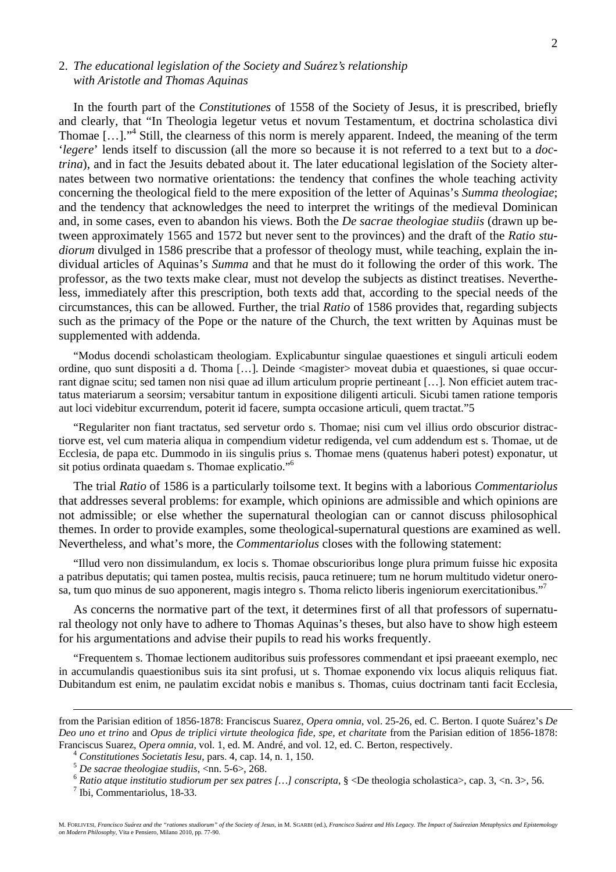## 2. *The educational legislation of the Society and Suárez's relationship with Aristotle and Thomas Aquinas*

In the fourth part of the *Constitutiones* of 1558 of the Society of Jesus, it is prescribed, briefly and clearly, that "In Theologia legetur vetus et novum Testamentum, et doctrina scholastica divi Thomae [...]."<sup>4</sup> Still, the clearness of this norm is merely apparent. Indeed, the meaning of the term '*legere*' lends itself to discussion (all the more so because it is not referred to a text but to a *doctrina*), and in fact the Jesuits debated about it. The later educational legislation of the Society alternates between two normative orientations: the tendency that confines the whole teaching activity concerning the theological field to the mere exposition of the letter of Aquinas's *Summa theologiae*; and the tendency that acknowledges the need to interpret the writings of the medieval Dominican and, in some cases, even to abandon his views. Both the *De sacrae theologiae studiis* (drawn up between approximately 1565 and 1572 but never sent to the provinces) and the draft of the *Ratio studiorum* divulged in 1586 prescribe that a professor of theology must, while teaching, explain the individual articles of Aquinas's *Summa* and that he must do it following the order of this work. The professor, as the two texts make clear, must not develop the subjects as distinct treatises. Nevertheless, immediately after this prescription, both texts add that, according to the special needs of the circumstances, this can be allowed. Further, the trial *Ratio* of 1586 provides that, regarding subjects such as the primacy of the Pope or the nature of the Church, the text written by Aquinas must be supplemented with addenda.

"Modus docendi scholasticam theologiam. Explicabuntur singulae quaestiones et singuli articuli eodem ordine, quo sunt dispositi a d. Thoma […]. Deinde <magister> moveat dubia et quaestiones, si quae occurrant dignae scitu; sed tamen non nisi quae ad illum articulum proprie pertineant […]. Non efficiet autem tractatus materiarum a seorsim; versabitur tantum in expositione diligenti articuli. Sicubi tamen ratione temporis aut loci videbitur excurrendum, poterit id facere, sumpta occasione articuli, quem tractat."5

"Regulariter non fiant tractatus, sed servetur ordo s. Thomae; nisi cum vel illius ordo obscurior distractiorve est, vel cum materia aliqua in compendium videtur redigenda, vel cum addendum est s. Thomae, ut de Ecclesia, de papa etc. Dummodo in iis singulis prius s. Thomae mens (quatenus haberi potest) exponatur, ut sit potius ordinata quaedam s. Thomae explicatio."6

The trial *Ratio* of 1586 is a particularly toilsome text. It begins with a laborious *Commentariolus* that addresses several problems: for example, which opinions are admissible and which opinions are not admissible; or else whether the supernatural theologian can or cannot discuss philosophical themes. In order to provide examples, some theological-supernatural questions are examined as well. Nevertheless, and what's more, the *Commentariolus* closes with the following statement:

"Illud vero non dissimulandum, ex locis s. Thomae obscurioribus longe plura primum fuisse hic exposita a patribus deputatis; qui tamen postea, multis recisis, pauca retinuere; tum ne horum multitudo videtur onerosa, tum quo minus de suo apponerent, magis integro s. Thoma relicto liberis ingeniorum exercitationibus."7

As concerns the normative part of the text, it determines first of all that professors of supernatural theology not only have to adhere to Thomas Aquinas's theses, but also have to show high esteem for his argumentations and advise their pupils to read his works frequently.

"Frequentem s. Thomae lectionem auditoribus suis professores commendant et ipsi praeeant exemplo, nec in accumulandis quaestionibus suis ita sint profusi, ut s. Thomae exponendo vix locus aliquis reliquus fiat. Dubitandum est enim, ne paulatim excidat nobis e manibus s. Thomas, cuius doctrinam tanti facit Ecclesia,

 $\mathcal{D}_{\alpha}$ 

from the Parisian edition of 1856-1878: Franciscus Suarez, *Opera omnia*, vol. 25-26, ed. C. Berton. I quote Suárez's *De Deo uno et trino* and *Opus de triplici virtute theologica fide, spe, et charitate* from the Parisian edition of 1856-1878: Franciscus Suarez, *Opera omnia*, vol. 1, ed. M. André, and vol. 12, ed. C. Berton, respectively.<br>
<sup>4</sup> Constitutiones Societatis Iesu, pars. 4, cap. 14, n. 1, 150.<br>
<sup>5</sup> De sacrae theologiae studiis, <nn. 5-6>, 268.<br>
<sup>6</sup> R

 $<sup>7</sup>$  Ibi, Commentariolus, 18-33.</sup>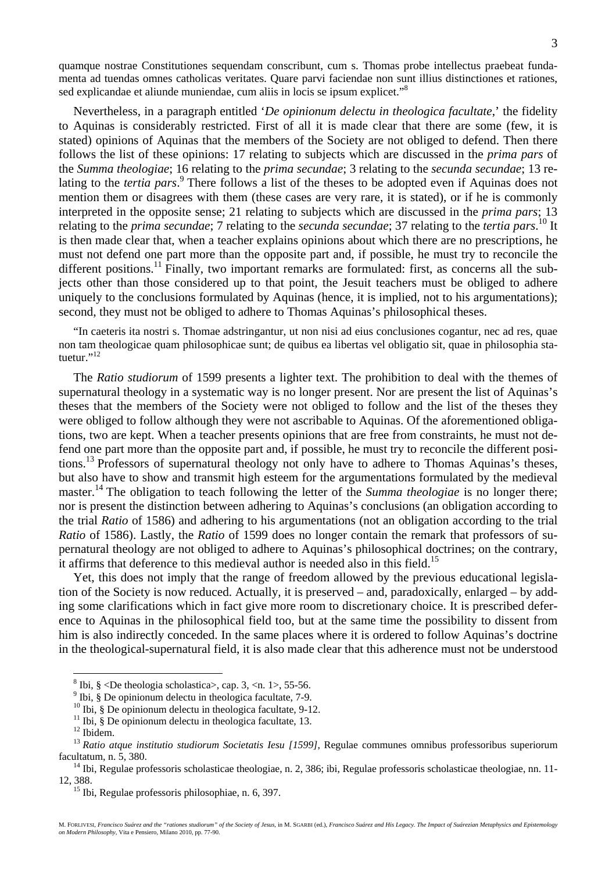quamque nostrae Constitutiones sequendam conscribunt, cum s. Thomas probe intellectus praebeat fundamenta ad tuendas omnes catholicas veritates. Quare parvi faciendae non sunt illius distinctiones et rationes, sed explicandae et aliunde muniendae, cum aliis in locis se ipsum explicet."<sup>8</sup>

Nevertheless, in a paragraph entitled '*De opinionum delectu in theologica facultate*,' the fidelity to Aquinas is considerably restricted. First of all it is made clear that there are some (few, it is stated) opinions of Aquinas that the members of the Society are not obliged to defend. Then there follows the list of these opinions: 17 relating to subjects which are discussed in the *prima pars* of the *Summa theologiae*; 16 relating to the *prima secundae*; 3 relating to the *secunda secundae*; 13 relating to the *tertia pars*. 9 There follows a list of the theses to be adopted even if Aquinas does not mention them or disagrees with them (these cases are very rare, it is stated), or if he is commonly interpreted in the opposite sense; 21 relating to subjects which are discussed in the *prima pars*; 13 relating to the *prima secundae*; 7 relating to the *secunda secundae*; 37 relating to the *tertia pars*. 10 It is then made clear that, when a teacher explains opinions about which there are no prescriptions, he must not defend one part more than the opposite part and, if possible, he must try to reconcile the different positions.<sup>11</sup> Finally, two important remarks are formulated: first, as concerns all the subjects other than those considered up to that point, the Jesuit teachers must be obliged to adhere uniquely to the conclusions formulated by Aquinas (hence, it is implied, not to his argumentations); second, they must not be obliged to adhere to Thomas Aquinas's philosophical theses.

"In caeteris ita nostri s. Thomae adstringantur, ut non nisi ad eius conclusiones cogantur, nec ad res, quae non tam theologicae quam philosophicae sunt; de quibus ea libertas vel obligatio sit, quae in philosophia statuetur."<sup>12</sup>

The *Ratio studiorum* of 1599 presents a lighter text. The prohibition to deal with the themes of supernatural theology in a systematic way is no longer present. Nor are present the list of Aquinas's theses that the members of the Society were not obliged to follow and the list of the theses they were obliged to follow although they were not ascribable to Aquinas. Of the aforementioned obligations, two are kept. When a teacher presents opinions that are free from constraints, he must not defend one part more than the opposite part and, if possible, he must try to reconcile the different positions.13 Professors of supernatural theology not only have to adhere to Thomas Aquinas's theses, but also have to show and transmit high esteem for the argumentations formulated by the medieval master.<sup>14</sup> The obligation to teach following the letter of the *Summa theologiae* is no longer there; nor is present the distinction between adhering to Aquinas's conclusions (an obligation according to the trial *Ratio* of 1586) and adhering to his argumentations (not an obligation according to the trial *Ratio* of 1586). Lastly, the *Ratio* of 1599 does no longer contain the remark that professors of supernatural theology are not obliged to adhere to Aquinas's philosophical doctrines; on the contrary, it affirms that deference to this medieval author is needed also in this field.<sup>15</sup>

Yet, this does not imply that the range of freedom allowed by the previous educational legislation of the Society is now reduced. Actually, it is preserved – and, paradoxically, enlarged – by adding some clarifications which in fact give more room to discretionary choice. It is prescribed deference to Aquinas in the philosophical field too, but at the same time the possibility to dissent from him is also indirectly conceded. In the same places where it is ordered to follow Aquinas's doctrine in the theological-supernatural field, it is also made clear that this adherence must not be understood

<sup>&</sup>lt;sup>8</sup> Ibi,  $\S$  <De theologia scholastica>, cap. 3, <n. 1>, 55-56.

<sup>&</sup>lt;sup>9</sup> Ibi, § De opinionum delectu in theologica facultate, 7-9.

<sup>&</sup>lt;sup>10</sup> Ibi, § De opinionum delectu in theologica facultate, 9-12.

<sup>&</sup>lt;sup>11</sup> Ibi,  $\frac{8}{3}$  De opinionum delectu in theologica facultate, 13.

 $12$  Ibidem.

<sup>&</sup>lt;sup>13</sup> Ratio atque institutio studiorum Societatis Iesu [1599], Regulae communes omnibus professoribus superiorum facultatum, n. 5, 380.<br><sup>14</sup> Ibi, Regulae professoris scholasticae theologiae, n. 2, 386; ibi, Regulae professoris scholasticae theologiae, nn. 11-

<sup>12, 388.&</sup>lt;br><sup>15</sup> Ibi, Regulae professoris philosophiae, n. 6, 397.

M. FORLIVESI, Francisco Suárez and the "rationes studiorum" of the Society of Jesus, in M. SGARBI (ed.), Francisco Suárez and His Legacy. The Impact of Suárezian Metaphysics and Epistemology<br>on Modern Philosophy, Vita e Pe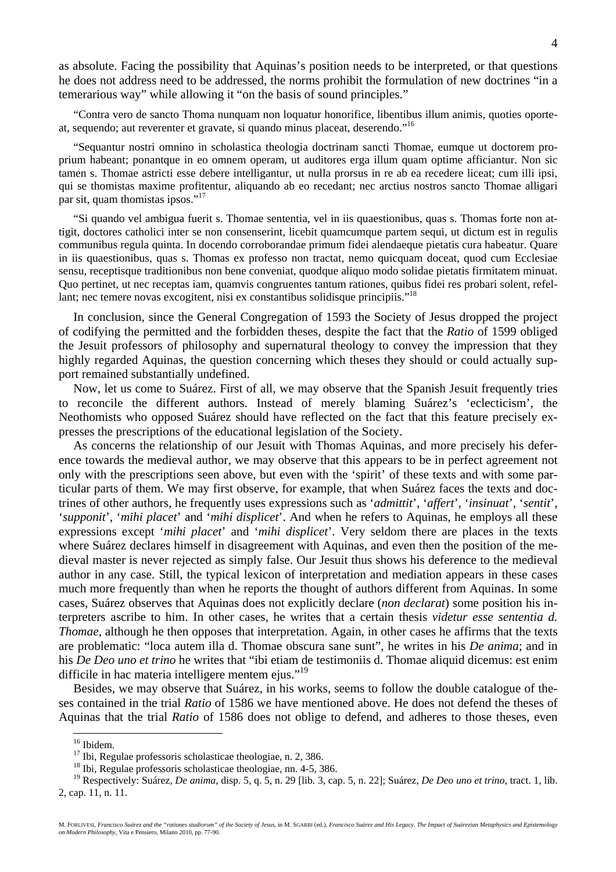as absolute. Facing the possibility that Aquinas's position needs to be interpreted, or that questions he does not address need to be addressed, the norms prohibit the formulation of new doctrines "in a temerarious way" while allowing it "on the basis of sound principles."

"Contra vero de sancto Thoma nunquam non loquatur honorifice, libentibus illum animis, quoties oporteat, sequendo; aut reverenter et gravate, si quando minus placeat, deserendo."16

"Sequantur nostri omnino in scholastica theologia doctrinam sancti Thomae, eumque ut doctorem proprium habeant; ponantque in eo omnem operam, ut auditores erga illum quam optime afficiantur. Non sic tamen s. Thomae astricti esse debere intelligantur, ut nulla prorsus in re ab ea recedere liceat; cum illi ipsi, qui se thomistas maxime profitentur, aliquando ab eo recedant; nec arctius nostros sancto Thomae alligari par sit, quam thomistas ipsos."<sup>17</sup>

"Si quando vel ambigua fuerit s. Thomae sententia, vel in iis quaestionibus, quas s. Thomas forte non attigit, doctores catholici inter se non consenserint, licebit quamcumque partem sequi, ut dictum est in regulis communibus regula quinta. In docendo corroborandae primum fidei alendaeque pietatis cura habeatur. Quare in iis quaestionibus, quas s. Thomas ex professo non tractat, nemo quicquam doceat, quod cum Ecclesiae sensu, receptisque traditionibus non bene conveniat, quodque aliquo modo solidae pietatis firmitatem minuat. Quo pertinet, ut nec receptas iam, quamvis congruentes tantum rationes, quibus fidei res probari solent, refellant; nec temere novas excogitent, nisi ex constantibus solidisque principiis."<sup>18</sup>

In conclusion, since the General Congregation of 1593 the Society of Jesus dropped the project of codifying the permitted and the forbidden theses, despite the fact that the *Ratio* of 1599 obliged the Jesuit professors of philosophy and supernatural theology to convey the impression that they highly regarded Aquinas, the question concerning which theses they should or could actually support remained substantially undefined.

Now, let us come to Suárez. First of all, we may observe that the Spanish Jesuit frequently tries to reconcile the different authors. Instead of merely blaming Suárez's 'eclecticism', the Neothomists who opposed Suárez should have reflected on the fact that this feature precisely expresses the prescriptions of the educational legislation of the Society.

As concerns the relationship of our Jesuit with Thomas Aquinas, and more precisely his deference towards the medieval author, we may observe that this appears to be in perfect agreement not only with the prescriptions seen above, but even with the 'spirit' of these texts and with some particular parts of them. We may first observe, for example, that when Suárez faces the texts and doctrines of other authors, he frequently uses expressions such as '*admittit*', '*affert*', '*insinuat*', '*sentit*', '*supponit*', '*mihi placet*' and '*mihi displicet*'. And when he refers to Aquinas, he employs all these expressions except '*mihi placet*' and '*mihi displicet*'. Very seldom there are places in the texts where Suárez declares himself in disagreement with Aquinas, and even then the position of the medieval master is never rejected as simply false. Our Jesuit thus shows his deference to the medieval author in any case. Still, the typical lexicon of interpretation and mediation appears in these cases much more frequently than when he reports the thought of authors different from Aquinas. In some cases, Suárez observes that Aquinas does not explicitly declare (*non declarat*) some position his interpreters ascribe to him. In other cases, he writes that a certain thesis *videtur esse sententia d. Thomae*, although he then opposes that interpretation. Again, in other cases he affirms that the texts are problematic: "loca autem illa d. Thomae obscura sane sunt", he writes in his *De anima*; and in his *De Deo uno et trino* he writes that "ibi etiam de testimoniis d. Thomae aliquid dicemus: est enim difficile in hac materia intelligere mentem eius."<sup>19</sup>

Besides, we may observe that Suárez, in his works, seems to follow the double catalogue of theses contained in the trial *Ratio* of 1586 we have mentioned above. He does not defend the theses of Aquinas that the trial *Ratio* of 1586 does not oblige to defend, and adheres to those theses, even

<sup>&</sup>lt;sup>16</sup> Ibidem.

<sup>&</sup>lt;sup>17</sup> Ibi, Regulae professoris scholasticae theologiae, n. 2, 386. <sup>18</sup> Ibi, Regulae professoris scholasticae theologiae, nn. 4-5, 386.

<sup>19</sup> Respectively: Suárez, *De anima*, disp. 5, q. 5, n. 29 [lib. 3, cap. 5, n. 22]; Suárez, *De Deo uno et trino*, tract. 1, lib. 2, cap. 11, n. 11.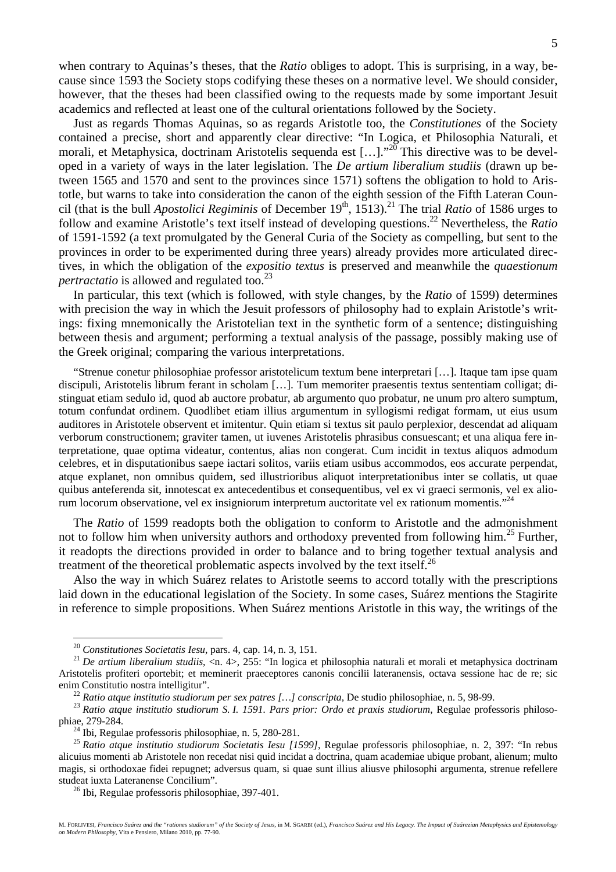when contrary to Aquinas's theses, that the *Ratio* obliges to adopt. This is surprising, in a way, because since 1593 the Society stops codifying these theses on a normative level. We should consider, however, that the theses had been classified owing to the requests made by some important Jesuit academics and reflected at least one of the cultural orientations followed by the Society.

Just as regards Thomas Aquinas, so as regards Aristotle too, the *Constitutiones* of the Society contained a precise, short and apparently clear directive: "In Logica, et Philosophia Naturali, et morali, et Metaphysica, doctrinam Aristotelis sequenda est [...]."<sup>20</sup> This directive was to be developed in a variety of ways in the later legislation. The *De artium liberalium studiis* (drawn up between 1565 and 1570 and sent to the provinces since 1571) softens the obligation to hold to Aristotle, but warns to take into consideration the canon of the eighth session of the Fifth Lateran Council (that is the bull *Apostolici Regiminis* of December 19<sup>th</sup>, 1513).<sup>21</sup> The trial *Ratio* of 1586 urges to follow and examine Aristotle's text itself instead of developing questions.22 Nevertheless, the *Ratio* of 1591-1592 (a text promulgated by the General Curia of the Society as compelling, but sent to the provinces in order to be experimented during three years) already provides more articulated directives, in which the obligation of the *expositio textus* is preserved and meanwhile the *quaestionum pertractatio* is allowed and regulated too.<sup>23</sup>

In particular, this text (which is followed, with style changes, by the *Ratio* of 1599) determines with precision the way in which the Jesuit professors of philosophy had to explain Aristotle's writings: fixing mnemonically the Aristotelian text in the synthetic form of a sentence; distinguishing between thesis and argument; performing a textual analysis of the passage, possibly making use of the Greek original; comparing the various interpretations.

"Strenue conetur philosophiae professor aristotelicum textum bene interpretari […]. Itaque tam ipse quam discipuli, Aristotelis librum ferant in scholam […]. Tum memoriter praesentis textus sententiam colligat; distinguat etiam sedulo id, quod ab auctore probatur, ab argumento quo probatur, ne unum pro altero sumptum, totum confundat ordinem. Quodlibet etiam illius argumentum in syllogismi redigat formam, ut eius usum auditores in Aristotele observent et imitentur. Quin etiam si textus sit paulo perplexior, descendat ad aliquam verborum constructionem; graviter tamen, ut iuvenes Aristotelis phrasibus consuescant; et una aliqua fere interpretatione, quae optima videatur, contentus, alias non congerat. Cum incidit in textus aliquos admodum celebres, et in disputationibus saepe iactari solitos, variis etiam usibus accommodos, eos accurate perpendat, atque explanet, non omnibus quidem, sed illustrioribus aliquot interpretationibus inter se collatis, ut quae quibus anteferenda sit, innotescat ex antecedentibus et consequentibus, vel ex vi graeci sermonis, vel ex aliorum locorum observatione, vel ex insigniorum interpretum auctoritate vel ex rationum momentis."<sup>24</sup>

The *Ratio* of 1599 readopts both the obligation to conform to Aristotle and the admonishment not to follow him when university authors and orthodoxy prevented from following him.<sup>25</sup> Further, it readopts the directions provided in order to balance and to bring together textual analysis and treatment of the theoretical problematic aspects involved by the text itself.<sup>26</sup>

Also the way in which Suárez relates to Aristotle seems to accord totally with the prescriptions laid down in the educational legislation of the Society. In some cases, Suárez mentions the Stagirite in reference to simple propositions. When Suárez mentions Aristotle in this way, the writings of the

<sup>&</sup>lt;sup>20</sup> *Constitutiones Societatis Iesu*, pars. 4, cap. 14, n. 3, 151.<br><sup>21</sup> *De artium liberalium studiis*, <n. 4>, 255: "In logica et philosophia naturali et morali et metaphysica doctrinam Aristotelis profiteri oportebit; et meminerit praeceptores canonis concilii lateranensis, octava sessione hac de re; sic enim Constitutio nostra intelligitur".<br><sup>22</sup> Ratio atque institutio studiorum per sex patres [...] conscripta, De studio philosophiae, n. 5, 98-99.<br><sup>23</sup> Ratio atque institutio studiorum S. I. 1591. Pars prior: Ordo et praxi

phiae, 279-284. 24 Ibi, Regulae professoris philosophiae, n. 5, 280-281.

<sup>25</sup> *Ratio atque institutio studiorum Societatis Iesu [1599]*, Regulae professoris philosophiae, n. 2, 397: "In rebus alicuius momenti ab Aristotele non recedat nisi quid incidat a doctrina, quam academiae ubique probant, alienum; multo magis, si orthodoxae fidei repugnet; adversus quam, si quae sunt illius aliusve philosophi argumenta, strenue refellere studeat iuxta Lateranense Concilium". 26 Ibi, Regulae professoris philosophiae, 397-401.

M. FORLIVESI, *Francisco Suárez and the "rationes studiorum" of the Society of Jesus*, in M. SGARBI (ed.), *Francisco Suárez and His Legacy. The Impact of Suárezian Metaphysics and Epistemology on Modern Philosophy*, Vita e Pensiero, Milano 2010, pp. 77-90.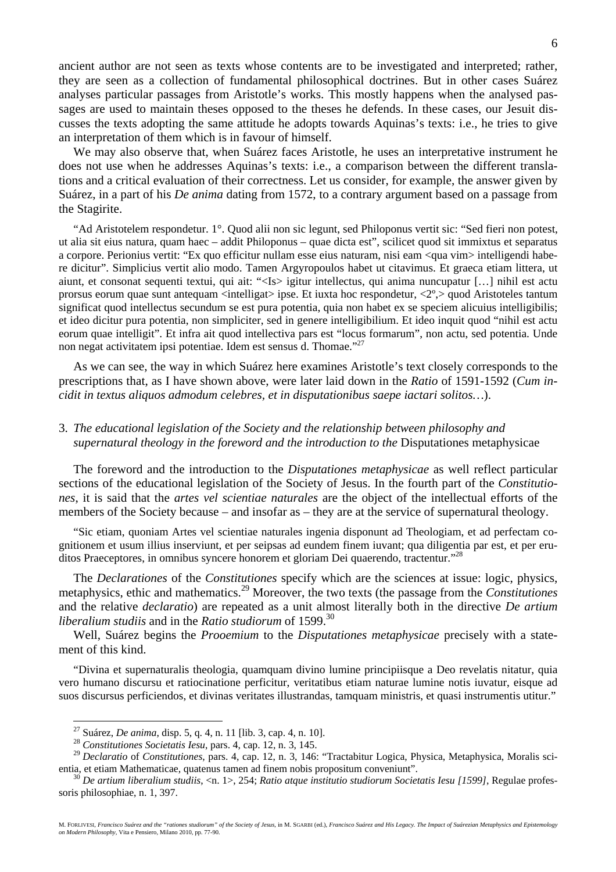ancient author are not seen as texts whose contents are to be investigated and interpreted; rather, they are seen as a collection of fundamental philosophical doctrines. But in other cases Suárez analyses particular passages from Aristotle's works. This mostly happens when the analysed passages are used to maintain theses opposed to the theses he defends. In these cases, our Jesuit discusses the texts adopting the same attitude he adopts towards Aquinas's texts: i.e., he tries to give an interpretation of them which is in favour of himself.

We may also observe that, when Suárez faces Aristotle, he uses an interpretative instrument he does not use when he addresses Aquinas's texts: i.e., a comparison between the different translations and a critical evaluation of their correctness. Let us consider, for example, the answer given by Suárez, in a part of his *De anima* dating from 1572, to a contrary argument based on a passage from the Stagirite.

"Ad Aristotelem respondetur. 1°. Quod alii non sic legunt, sed Philoponus vertit sic: "Sed fieri non potest, ut alia sit eius natura, quam haec – addit Philoponus – quae dicta est", scilicet quod sit immixtus et separatus a corpore. Perionius vertit: "Ex quo efficitur nullam esse eius naturam, nisi eam <qua vim> intelligendi habere dicitur". Simplicius vertit alio modo. Tamen Argyropoulos habet ut citavimus. Et graeca etiam littera, ut aiunt, et consonat sequenti textui, qui ait: "<Is> igitur intellectus, qui anima nuncupatur […] nihil est actu prorsus eorum quae sunt antequam <intelligat> ipse. Et iuxta hoc respondetur, <2º,> quod Aristoteles tantum significat quod intellectus secundum se est pura potentia, quia non habet ex se speciem alicuius intelligibilis; et ideo dicitur pura potentia, non simpliciter, sed in genere intelligibilium. Et ideo inquit quod "nihil est actu eorum quae intelligit". Et infra ait quod intellectiva pars est "locus formarum", non actu, sed potentia. Unde non negat activitatem ipsi potentiae. Idem est sensus d. Thomae."27

As we can see, the way in which Suárez here examines Aristotle's text closely corresponds to the prescriptions that, as I have shown above, were later laid down in the *Ratio* of 1591-1592 (*Cum incidit in textus aliquos admodum celebres, et in disputationibus saepe iactari solitos…*).

## 3. *The educational legislation of the Society and the relationship between philosophy and supernatural theology in the foreword and the introduction to the Disputationes metaphysicae*

The foreword and the introduction to the *Disputationes metaphysicae* as well reflect particular sections of the educational legislation of the Society of Jesus. In the fourth part of the *Constitutiones*, it is said that the *artes vel scientiae naturales* are the object of the intellectual efforts of the members of the Society because – and insofar as – they are at the service of supernatural theology.

"Sic etiam, quoniam Artes vel scientiae naturales ingenia disponunt ad Theologiam, et ad perfectam cognitionem et usum illius inserviunt, et per seipsas ad eundem finem iuvant; qua diligentia par est, et per eruditos Praeceptores, in omnibus syncere honorem et gloriam Dei quaerendo, tractentur."28

The *Declarationes* of the *Constitutiones* specify which are the sciences at issue: logic, physics, metaphysics, ethic and mathematics.29 Moreover, the two texts (the passage from the *Constitutiones* and the relative *declaratio*) are repeated as a unit almost literally both in the directive *De artium liberalium studiis* and in the *Ratio studiorum* of 1599.<sup>30</sup>

Well, Suárez begins the *Prooemium* to the *Disputationes metaphysicae* precisely with a statement of this kind.

"Divina et supernaturalis theologia, quamquam divino lumine principiisque a Deo revelatis nitatur, quia vero humano discursu et ratiocinatione perficitur, veritatibus etiam naturae lumine notis iuvatur, eisque ad suos discursus perficiendos, et divinas veritates illustrandas, tamquam ministris, et quasi instrumentis utitur."

<sup>27</sup> Suárez, *De anima*, disp. 5, q. 4, n. 11 [lib. 3, cap. 4, n. 10]. 28 *Constitutiones Societatis Iesu*, pars. 4, cap. 12, n. 3, 145.

<sup>29</sup> *Declaratio* of *Constitutiones*, pars. 4, cap. 12, n. 3, 146: "Tractabitur Logica, Physica, Metaphysica, Moralis scientia, et etiam Mathematicae, quatenus tamen ad finem nobis propositum conveniunt". 30 *De artium liberalium studiis*, <n. 1>, 254; *Ratio atque institutio studiorum Societatis Iesu [1599]*, Regulae profes-

soris philosophiae, n. 1, 397.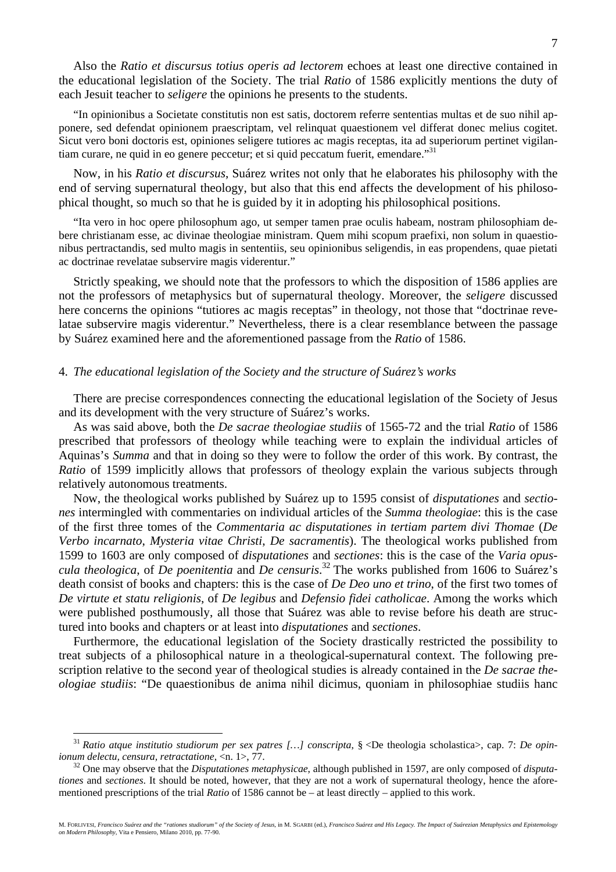M. FORLIVESI, Francisco Suárez and the "rationes studiorum" of the Society of Jesus, in M. SGARBI (ed.), Francisco Suárez and His Legacy. The Impact of Suárezian Metaphysics and Epistemology<br>on Modern Philosophy, Vita e Pe

Also the *Ratio et discursus totius operis ad lectorem* echoes at least one directive contained in the educational legislation of the Society. The trial *Ratio* of 1586 explicitly mentions the duty of each Jesuit teacher to *seligere* the opinions he presents to the students.

"In opinionibus a Societate constitutis non est satis, doctorem referre sententias multas et de suo nihil apponere, sed defendat opinionem praescriptam, vel relinquat quaestionem vel differat donec melius cogitet. Sicut vero boni doctoris est, opiniones seligere tutiores ac magis receptas, ita ad superiorum pertinet vigilantiam curare, ne quid in eo genere peccetur; et si quid peccatum fuerit, emendare."31

Now, in his *Ratio et discursus*, Suárez writes not only that he elaborates his philosophy with the end of serving supernatural theology, but also that this end affects the development of his philosophical thought, so much so that he is guided by it in adopting his philosophical positions.

"Ita vero in hoc opere philosophum ago, ut semper tamen prae oculis habeam, nostram philosophiam debere christianam esse, ac divinae theologiae ministram. Quem mihi scopum praefixi, non solum in quaestionibus pertractandis, sed multo magis in sententiis, seu opinionibus seligendis, in eas propendens, quae pietati ac doctrinae revelatae subservire magis viderentur."

Strictly speaking, we should note that the professors to which the disposition of 1586 applies are not the professors of metaphysics but of supernatural theology. Moreover, the *seligere* discussed here concerns the opinions "tutiores ac magis receptas" in theology, not those that "doctrinae revelatae subservire magis viderentur." Nevertheless, there is a clear resemblance between the passage by Suárez examined here and the aforementioned passage from the *Ratio* of 1586.

#### 4. *The educational legislation of the Society and the structure of Suárez's works*

There are precise correspondences connecting the educational legislation of the Society of Jesus and its development with the very structure of Suárez's works.

As was said above, both the *De sacrae theologiae studiis* of 1565-72 and the trial *Ratio* of 1586 prescribed that professors of theology while teaching were to explain the individual articles of Aquinas's *Summa* and that in doing so they were to follow the order of this work. By contrast, the *Ratio* of 1599 implicitly allows that professors of theology explain the various subjects through relatively autonomous treatments.

Now, the theological works published by Suárez up to 1595 consist of *disputationes* and *sectiones* intermingled with commentaries on individual articles of the *Summa theologiae*: this is the case of the first three tomes of the *Commentaria ac disputationes in tertiam partem divi Thomae* (*De Verbo incarnato*, *Mysteria vitae Christi*, *De sacramentis*). The theological works published from 1599 to 1603 are only composed of *disputationes* and *sectiones*: this is the case of the *Varia opuscula theologica*, of *De poenitentia* and *De censuris*. 32 The works published from 1606 to Suárez's death consist of books and chapters: this is the case of *De Deo uno et trino*, of the first two tomes of *De virtute et statu religionis*, of *De legibus* and *Defensio fidei catholicae*. Among the works which were published posthumously, all those that Suárez was able to revise before his death are structured into books and chapters or at least into *disputationes* and *sectiones*.

Furthermore, the educational legislation of the Society drastically restricted the possibility to treat subjects of a philosophical nature in a theological-supernatural context. The following prescription relative to the second year of theological studies is already contained in the *De sacrae theologiae studiis*: "De quaestionibus de anima nihil dicimus, quoniam in philosophiae studiis hanc

<sup>31</sup> *Ratio atque institutio studiorum per sex patres […] conscripta*, § <De theologia scholastica>, cap. 7: *De opinionum delectu, censura, retractatione,* <n. 1>, 77.<br><sup>32</sup> One may observe that the *Disputationes metaphysicae*, although published in 1597, are only composed of *disputa*-

*tiones* and *sectiones*. It should be noted, however, that they are not a work of supernatural theology, hence the aforementioned prescriptions of the trial *Ratio* of 1586 cannot be – at least directly – applied to this work.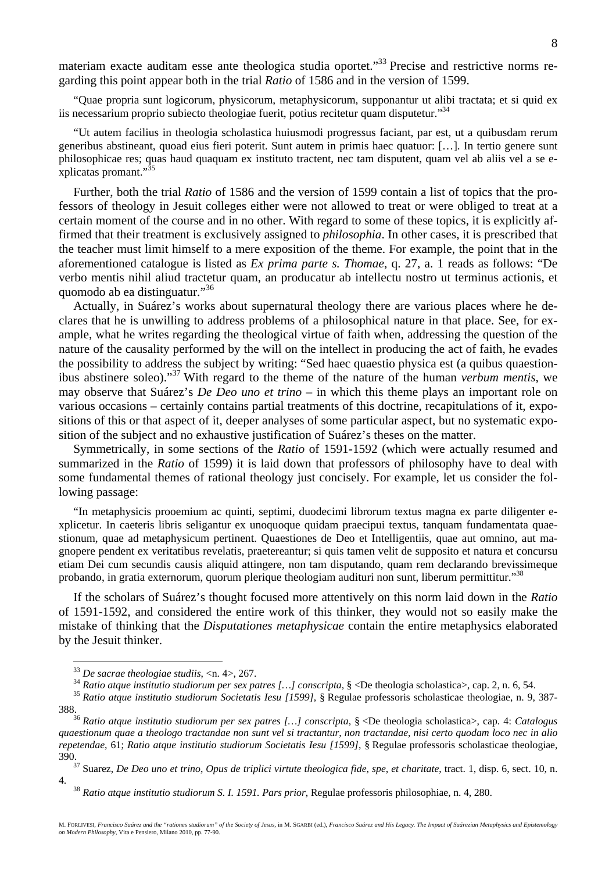materiam exacte auditam esse ante theologica studia oportet."<sup>33</sup> Precise and restrictive norms regarding this point appear both in the trial *Ratio* of 1586 and in the version of 1599.

"Quae propria sunt logicorum, physicorum, metaphysicorum, supponantur ut alibi tractata; et si quid ex iis necessarium proprio subiecto theologiae fuerit, potius recitetur quam disputetur."34

"Ut autem facilius in theologia scholastica huiusmodi progressus faciant, par est, ut a quibusdam rerum generibus abstineant, quoad eius fieri poterit. Sunt autem in primis haec quatuor: […]. In tertio genere sunt philosophicae res; quas haud quaquam ex instituto tractent, nec tam disputent, quam vel ab aliis vel a se explicatas promant."<sup>35</sup>

Further, both the trial *Ratio* of 1586 and the version of 1599 contain a list of topics that the professors of theology in Jesuit colleges either were not allowed to treat or were obliged to treat at a certain moment of the course and in no other. With regard to some of these topics, it is explicitly affirmed that their treatment is exclusively assigned to *philosophia*. In other cases, it is prescribed that the teacher must limit himself to a mere exposition of the theme. For example, the point that in the aforementioned catalogue is listed as *Ex prima parte s. Thomae*, q. 27, a. 1 reads as follows: "De verbo mentis nihil aliud tractetur quam, an producatur ab intellectu nostro ut terminus actionis, et quomodo ab ea distinguatur."36

Actually, in Suárez's works about supernatural theology there are various places where he declares that he is unwilling to address problems of a philosophical nature in that place. See, for example, what he writes regarding the theological virtue of faith when, addressing the question of the nature of the causality performed by the will on the intellect in producing the act of faith, he evades the possibility to address the subject by writing: "Sed haec quaestio physica est (a quibus quaestionibus abstinere soleo)."37 With regard to the theme of the nature of the human *verbum mentis*, we may observe that Suárez's *De Deo uno et trino* – in which this theme plays an important role on various occasions – certainly contains partial treatments of this doctrine, recapitulations of it, expositions of this or that aspect of it, deeper analyses of some particular aspect, but no systematic exposition of the subject and no exhaustive justification of Suárez's theses on the matter.

Symmetrically, in some sections of the *Ratio* of 1591-1592 (which were actually resumed and summarized in the *Ratio* of 1599) it is laid down that professors of philosophy have to deal with some fundamental themes of rational theology just concisely. For example, let us consider the following passage:

"In metaphysicis prooemium ac quinti, septimi, duodecimi librorum textus magna ex parte diligenter explicetur. In caeteris libris seligantur ex unoquoque quidam praecipui textus, tanquam fundamentata quaestionum, quae ad metaphysicum pertinent. Quaestiones de Deo et Intelligentiis, quae aut omnino, aut magnopere pendent ex veritatibus revelatis, praetereantur; si quis tamen velit de supposito et natura et concursu etiam Dei cum secundis causis aliquid attingere, non tam disputando, quam rem declarando brevissimeque probando, in gratia externorum, quorum plerique theologiam audituri non sunt, liberum permittitur."38

If the scholars of Suárez's thought focused more attentively on this norm laid down in the *Ratio* of 1591-1592, and considered the entire work of this thinker, they would not so easily make the mistake of thinking that the *Disputationes metaphysicae* contain the entire metaphysics elaborated by the Jesuit thinker.

<sup>&</sup>lt;sup>33</sup> De sacrae theologiae studiis, <n. 4>, 267.<br><sup>34</sup> Ratio atque institutio studiorum per sex patres [...] conscripta, § <De theologia scholastica>, cap. 2, n. 6, 54.<br><sup>35</sup> Ratio atque institutio studiorum Societatis Iesu

<sup>388. 36</sup> *Ratio atque institutio studiorum per sex patres […] conscripta*, § <De theologia scholastica>, cap. 4: *Catalogus quaestionum quae a theologo tractandae non sunt vel si tractantur, non tractandae, nisi certo quodam loco nec in alio repetendae*, 61; *Ratio atque institutio studiorum Societatis Iesu [1599]*, § Regulae professoris scholasticae theologiae, 390. 37 Suarez, *De Deo uno et trino*, *Opus de triplici virtute theologica fide, spe, et charitate*, tract. 1, disp. 6, sect. 10, n.

<sup>4. 38</sup> *Ratio atque institutio studiorum S. I. 1591. Pars prior*, Regulae professoris philosophiae, n. 4, 280.

M. FORLIVESI, Francisco Suárez and the "rationes studiorum" of the Society of Jesus, in M. SGARBI (ed.), Francisco Suárez and His Legacy. The Impact of Suárezian Metaphysics and Epistemology<br>on Modern Philosophy, Vita e Pe